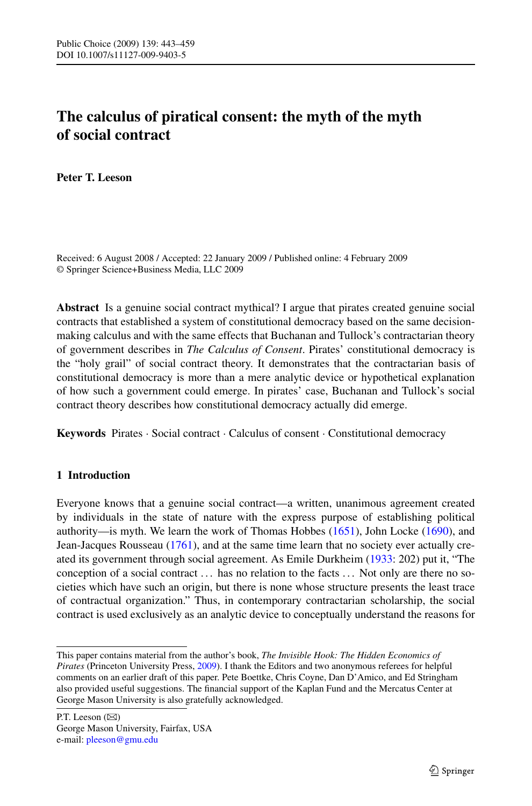# <span id="page-0-0"></span>**The calculus of piratical consent: the myth of the myth of social contract**

**Peter T. Leeson**

Received: 6 August 2008 / Accepted: 22 January 2009 / Published online: 4 February 2009 © Springer Science+Business Media, LLC 2009

**Abstract** Is a genuine social contract mythical? I argue that pirates created genuine social contracts that established a system of constitutional democracy based on the same decisionmaking calculus and with the same effects that Buchanan and Tullock's contractarian theory of government describes in *The Calculus of Consent*. Pirates' constitutional democracy is the "holy grail" of social contract theory. It demonstrates that the contractarian basis of constitutional democracy is more than a mere analytic device or hypothetical explanation of how such a government could emerge. In pirates' case, Buchanan and Tullock's social contract theory describes how constitutional democracy actually did emerge.

**Keywords** Pirates · Social contract · Calculus of consent · Constitutional democracy

# **1 Introduction**

Everyone knows that a genuine social contract—a written, unanimous agreement created by individuals in the state of nature with the express purpose of establishing political authority—is myth. We learn the work of Thomas Hobbes ([1651\)](#page-15-0), John Locke ([1690\)](#page-15-0), and Jean-Jacques Rousseau ([1761](#page-16-0)), and at the same time learn that no society ever actually created its government through social agreement. As Emile Durkheim ([1933:](#page-15-0) 202) put it, "The conception of a social contract . . . has no relation to the facts . . . Not only are there no societies which have such an origin, but there is none whose structure presents the least trace of contractual organization." Thus, in contemporary contractarian scholarship, the social contract is used exclusively as an analytic device to conceptually understand the reasons for

This paper contains material from the author's book, *The Invisible Hook: The Hidden Economics of Pirates* (Princeton University Press, [2009\)](#page-15-0). I thank the Editors and two anonymous referees for helpful comments on an earlier draft of this paper. Pete Boettke, Chris Coyne, Dan D'Amico, and Ed Stringham also provided useful suggestions. The financial support of the Kaplan Fund and the Mercatus Center at George Mason University is also gratefully acknowledged.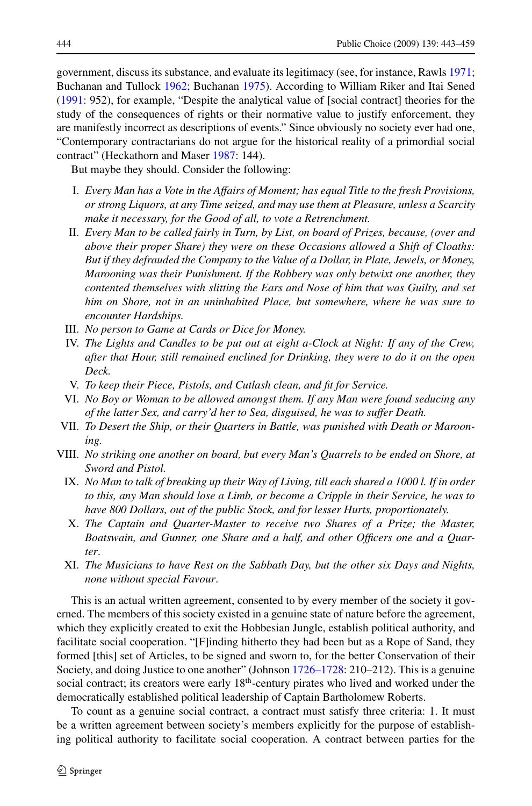government, discuss its substance, and evaluate its legitimacy (see, for instance, Rawls [1971;](#page-15-0) Buchanan and Tullock [1962;](#page-15-0) Buchanan [1975](#page-15-0)). According to William Riker and Itai Sened ([1991:](#page-15-0) 952), for example, "Despite the analytical value of [social contract] theories for the study of the consequences of rights or their normative value to justify enforcement, they are manifestly incorrect as descriptions of events." Since obviously no society ever had one, "Contemporary contractarians do not argue for the historical reality of a primordial social contract" (Heckathorn and Maser [1987:](#page-15-0) 144).

But maybe they should. Consider the following:

- I. *Every Man has a Vote in the Affairs of Moment; has equal Title to the fresh Provisions, or strong Liquors, at any Time seized, and may use them at Pleasure, unless a Scarcity make it necessary, for the Good of all, to vote a Retrenchment.*
- II. *Every Man to be called fairly in Turn, by List, on board of Prizes, because, (over and above their proper Share) they were on these Occasions allowed a Shift of Cloaths: But if they defrauded the Company to the Value of a Dollar, in Plate, Jewels, or Money, Marooning was their Punishment. If the Robbery was only betwixt one another, they contented themselves with slitting the Ears and Nose of him that was Guilty, and set him on Shore, not in an uninhabited Place, but somewhere, where he was sure to encounter Hardships.*
- III. *No person to Game at Cards or Dice for Money.*
- IV. *The Lights and Candles to be put out at eight a-Clock at Night: If any of the Crew, after that Hour, still remained enclined for Drinking, they were to do it on the open Deck.*
- V. *To keep their Piece, Pistols, and Cutlash clean, and fit for Service.*
- VI. *No Boy or Woman to be allowed amongst them. If any Man were found seducing any of the latter Sex, and carry'd her to Sea, disguised, he was to suffer Death.*
- VII. *To Desert the Ship, or their Quarters in Battle, was punished with Death or Marooning.*
- VIII. *No striking one another on board, but every Man's Quarrels to be ended on Shore, at Sword and Pistol.*
	- IX. *No Man to talk of breaking up their Way of Living, till each shared a 1000 l. If in order to this, any Man should lose a Limb, or become a Cripple in their Service, he was to have 800 Dollars, out of the public Stock, and for lesser Hurts, proportionately.*
	- X. *The Captain and Quarter-Master to receive two Shares of a Prize; the Master, Boatswain, and Gunner, one Share and a half, and other Officers one and a Quarter*.
	- XI. *The Musicians to have Rest on the Sabbath Day, but the other six Days and Nights, none without special Favour*.

This is an actual written agreement, consented to by every member of the society it governed. The members of this society existed in a genuine state of nature before the agreement, which they explicitly created to exit the Hobbesian Jungle, establish political authority, and facilitate social cooperation. "[F]inding hitherto they had been but as a Rope of Sand, they formed [this] set of Articles, to be signed and sworn to, for the better Conservation of their Society, and doing Justice to one another" (Johnson [1726–1728](#page-15-0): 210–212). This is a genuine social contract; its creators were early 18<sup>th</sup>-century pirates who lived and worked under the democratically established political leadership of Captain Bartholomew Roberts.

To count as a genuine social contract, a contract must satisfy three criteria: 1. It must be a written agreement between society's members explicitly for the purpose of establishing political authority to facilitate social cooperation. A contract between parties for the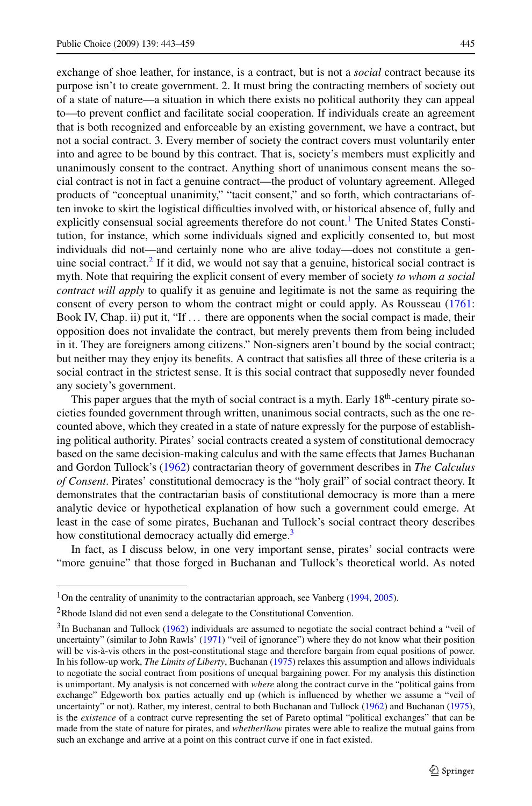exchange of shoe leather, for instance, is a contract, but is not a *social* contract because its purpose isn't to create government. 2. It must bring the contracting members of society out of a state of nature—a situation in which there exists no political authority they can appeal to—to prevent conflict and facilitate social cooperation. If individuals create an agreement that is both recognized and enforceable by an existing government, we have a contract, but not a social contract. 3. Every member of society the contract covers must voluntarily enter into and agree to be bound by this contract. That is, society's members must explicitly and unanimously consent to the contract. Anything short of unanimous consent means the social contract is not in fact a genuine contract—the product of voluntary agreement. Alleged products of "conceptual unanimity," "tacit consent," and so forth, which contractarians often invoke to skirt the logistical difficulties involved with, or historical absence of, fully and explicitly consensual social agreements therefore do not count.<sup>1</sup> The United States Constitution, for instance, which some individuals signed and explicitly consented to, but most individuals did not—and certainly none who are alive today—does not constitute a genuine social contract.<sup>2</sup> If it did, we would not say that a genuine, historical social contract is myth. Note that requiring the explicit consent of every member of society *to whom a social contract will apply* to qualify it as genuine and legitimate is not the same as requiring the consent of every person to whom the contract might or could apply. As Rousseau ([1761:](#page-16-0) Book IV, Chap. ii) put it, "If ... there are opponents when the social compact is made, their opposition does not invalidate the contract, but merely prevents them from being included in it. They are foreigners among citizens." Non-signers aren't bound by the social contract; but neither may they enjoy its benefits. A contract that satisfies all three of these criteria is a social contract in the strictest sense. It is this social contract that supposedly never founded any society's government.

This paper argues that the myth of social contract is a myth. Early 18<sup>th</sup>-century pirate societies founded government through written, unanimous social contracts, such as the one recounted above, which they created in a state of nature expressly for the purpose of establishing political authority. Pirates' social contracts created a system of constitutional democracy based on the same decision-making calculus and with the same effects that James Buchanan and Gordon Tullock's ([1962\)](#page-15-0) contractarian theory of government describes in *The Calculus of Consent*. Pirates' constitutional democracy is the "holy grail" of social contract theory. It demonstrates that the contractarian basis of constitutional democracy is more than a mere analytic device or hypothetical explanation of how such a government could emerge. At least in the case of some pirates, Buchanan and Tullock's social contract theory describes how constitutional democracy actually did emerge.<sup>3</sup>

In fact, as I discuss below, in one very important sense, pirates' social contracts were "more genuine" that those forged in Buchanan and Tullock's theoretical world. As noted

<sup>&</sup>lt;sup>1</sup>On the centrality of unanimity to the contractarian approach, see Vanberg [\(1994](#page-16-0), [2005](#page-16-0)).

<sup>2</sup>Rhode Island did not even send a delegate to the Constitutional Convention.

 $3$ In Buchanan and Tullock [\(1962](#page-15-0)) individuals are assumed to negotiate the social contract behind a "veil of uncertainty" (similar to John Rawls' [\(1971](#page-15-0)) "veil of ignorance") where they do not know what their position will be vis-à-vis others in the post-constitutional stage and therefore bargain from equal positions of power. In his follow-up work, *The Limits of Liberty*, Buchanan ([1975\)](#page-15-0) relaxes this assumption and allows individuals to negotiate the social contract from positions of unequal bargaining power. For my analysis this distinction is unimportant. My analysis is not concerned with *where* along the contract curve in the "political gains from exchange" Edgeworth box parties actually end up (which is influenced by whether we assume a "veil of uncertainty" or not). Rather, my interest, central to both Buchanan and Tullock ([1962\)](#page-15-0) and Buchanan ([1975\)](#page-15-0), is the *existence* of a contract curve representing the set of Pareto optimal "political exchanges" that can be made from the state of nature for pirates, and *whether*/*how* pirates were able to realize the mutual gains from such an exchange and arrive at a point on this contract curve if one in fact existed.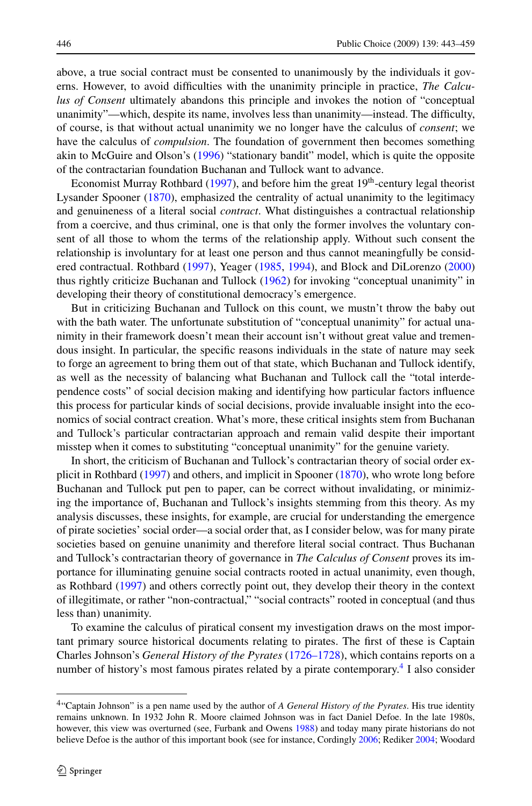above, a true social contract must be consented to unanimously by the individuals it governs. However, to avoid difficulties with the unanimity principle in practice, *The Calculus of Consent* ultimately abandons this principle and invokes the notion of "conceptual unanimity"—which, despite its name, involves less than unanimity—instead. The difficulty, of course, is that without actual unanimity we no longer have the calculus of *consent*; we have the calculus of *compulsion*. The foundation of government then becomes something akin to McGuire and Olson's ([1996\)](#page-15-0) "stationary bandit" model, which is quite the opposite of the contractarian foundation Buchanan and Tullock want to advance.

Economist Murray Rothbard [\(1997](#page-16-0)), and before him the great  $19<sup>th</sup>$ -century legal theorist Lysander Spooner [\(1870](#page-16-0)), emphasized the centrality of actual unanimity to the legitimacy and genuineness of a literal social *contract*. What distinguishes a contractual relationship from a coercive, and thus criminal, one is that only the former involves the voluntary consent of all those to whom the terms of the relationship apply. Without such consent the relationship is involuntary for at least one person and thus cannot meaningfully be considered contractual. Rothbard [\(1997](#page-16-0)), Yeager ([1985,](#page-16-0) [1994\)](#page-16-0), and Block and DiLorenzo [\(2000](#page-15-0)) thus rightly criticize Buchanan and Tullock ([1962\)](#page-15-0) for invoking "conceptual unanimity" in developing their theory of constitutional democracy's emergence.

But in criticizing Buchanan and Tullock on this count, we mustn't throw the baby out with the bath water. The unfortunate substitution of "conceptual unanimity" for actual unanimity in their framework doesn't mean their account isn't without great value and tremendous insight. In particular, the specific reasons individuals in the state of nature may seek to forge an agreement to bring them out of that state, which Buchanan and Tullock identify, as well as the necessity of balancing what Buchanan and Tullock call the "total interdependence costs" of social decision making and identifying how particular factors influence this process for particular kinds of social decisions, provide invaluable insight into the economics of social contract creation. What's more, these critical insights stem from Buchanan and Tullock's particular contractarian approach and remain valid despite their important misstep when it comes to substituting "conceptual unanimity" for the genuine variety.

In short, the criticism of Buchanan and Tullock's contractarian theory of social order explicit in Rothbard ([1997\)](#page-16-0) and others, and implicit in Spooner [\(1870](#page-16-0)), who wrote long before Buchanan and Tullock put pen to paper, can be correct without invalidating, or minimizing the importance of, Buchanan and Tullock's insights stemming from this theory. As my analysis discusses, these insights, for example, are crucial for understanding the emergence of pirate societies' social order—a social order that, as I consider below, was for many pirate societies based on genuine unanimity and therefore literal social contract. Thus Buchanan and Tullock's contractarian theory of governance in *The Calculus of Consent* proves its importance for illuminating genuine social contracts rooted in actual unanimity, even though, as Rothbard ([1997\)](#page-16-0) and others correctly point out, they develop their theory in the context of illegitimate, or rather "non-contractual," "social contracts" rooted in conceptual (and thus less than) unanimity.

To examine the calculus of piratical consent my investigation draws on the most important primary source historical documents relating to pirates. The first of these is Captain Charles Johnson's *General History of the Pyrates* ([1726–1728](#page-15-0)), which contains reports on a number of history's most famous pirates related by a pirate contemporary.<sup>4</sup> I also consider

<sup>4&</sup>quot;Captain Johnson" is a pen name used by the author of *A General History of the Pyrates*. His true identity remains unknown. In 1932 John R. Moore claimed Johnson was in fact Daniel Defoe. In the late 1980s, however, this view was overturned (see, Furbank and Owens [1988](#page-15-0)) and today many pirate historians do not believe Defoe is the author of this important book (see for instance, Cordingly [2006](#page-15-0); Rediker [2004](#page-15-0); Woodard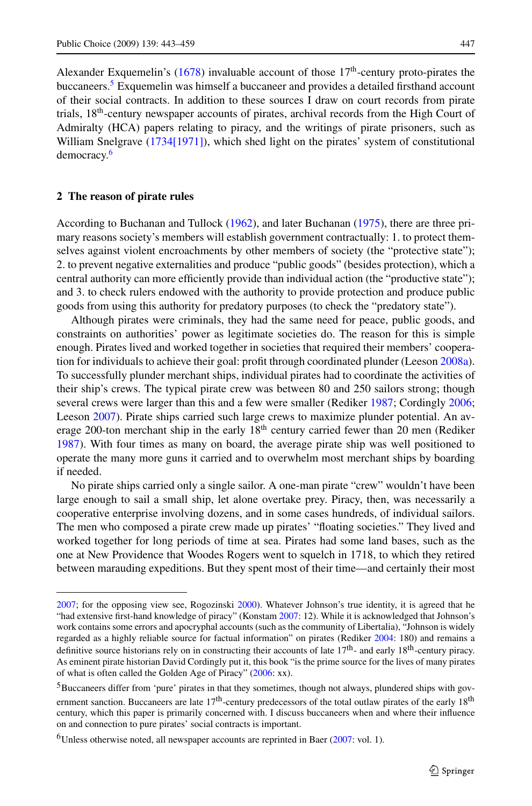Alexander Exquemelin's [\(1678](#page-15-0)) invaluable account of those  $17<sup>th</sup>$ -century proto-pirates the buccaneers.<sup>5</sup> Exquemelin was himself a buccaneer and provides a detailed firsthand account of their social contracts. In addition to these sources I draw on court records from pirate trials, 18th-century newspaper accounts of pirates, archival records from the High Court of Admiralty (HCA) papers relating to piracy, and the writings of pirate prisoners, such as William Snelgrave ([1734\[1971\]](#page-16-0)), which shed light on the pirates' system of constitutional democracy.<sup>6</sup>

### **2 The reason of pirate rules**

According to Buchanan and Tullock ([1962\)](#page-15-0), and later Buchanan [\(1975](#page-15-0)), there are three primary reasons society's members will establish government contractually: 1. to protect themselves against violent encroachments by other members of society (the "protective state"); 2. to prevent negative externalities and produce "public goods" (besides protection), which a central authority can more efficiently provide than individual action (the "productive state"); and 3. to check rulers endowed with the authority to provide protection and produce public goods from using this authority for predatory purposes (to check the "predatory state").

Although pirates were criminals, they had the same need for peace, public goods, and constraints on authorities' power as legitimate societies do. The reason for this is simple enough. Pirates lived and worked together in societies that required their members' coopera-tion for individuals to achieve their goal: profit through coordinated plunder (Leeson [2008a](#page-15-0)). To successfully plunder merchant ships, individual pirates had to coordinate the activities of their ship's crews. The typical pirate crew was between 80 and 250 sailors strong; though several crews were larger than this and a few were smaller (Rediker [1987](#page-15-0); Cordingly [2006;](#page-15-0) Leeson [2007\)](#page-15-0). Pirate ships carried such large crews to maximize plunder potential. An average 200-ton merchant ship in the early 18<sup>th</sup> century carried fewer than 20 men (Rediker [1987\)](#page-15-0). With four times as many on board, the average pirate ship was well positioned to operate the many more guns it carried and to overwhelm most merchant ships by boarding if needed.

No pirate ships carried only a single sailor. A one-man pirate "crew" wouldn't have been large enough to sail a small ship, let alone overtake prey. Piracy, then, was necessarily a cooperative enterprise involving dozens, and in some cases hundreds, of individual sailors. The men who composed a pirate crew made up pirates' "floating societies." They lived and worked together for long periods of time at sea. Pirates had some land bases, such as the one at New Providence that Woodes Rogers went to squelch in 1718, to which they retired between marauding expeditions. But they spent most of their time—and certainly their most

[<sup>2007;</sup>](#page-16-0) for the opposing view see, Rogozinski [2000](#page-15-0)). Whatever Johnson's true identity, it is agreed that he "had extensive first-hand knowledge of piracy" (Konstam [2007:](#page-15-0) 12). While it is acknowledged that Johnson's work contains some errors and apocryphal accounts (such as the community of Libertalia), "Johnson is widely regarded as a highly reliable source for factual information" on pirates (Rediker [2004](#page-15-0): 180) and remains a definitive source historians rely on in constructing their accounts of late 17<sup>th</sup>- and early 18<sup>th</sup>-century piracy. As eminent pirate historian David Cordingly put it, this book "is the prime source for the lives of many pirates of what is often called the Golden Age of Piracy" [\(2006](#page-15-0): xx).

<sup>5</sup>Buccaneers differ from 'pure' pirates in that they sometimes, though not always, plundered ships with government sanction. Buccaneers are late 17<sup>th</sup>-century predecessors of the total outlaw pirates of the early 18<sup>th</sup> century, which this paper is primarily concerned with. I discuss buccaneers when and where their influence on and connection to pure pirates' social contracts is important.

 $6$ Unless otherwise noted, all newspaper accounts are reprinted in Baer [\(2007](#page-15-0): vol. 1).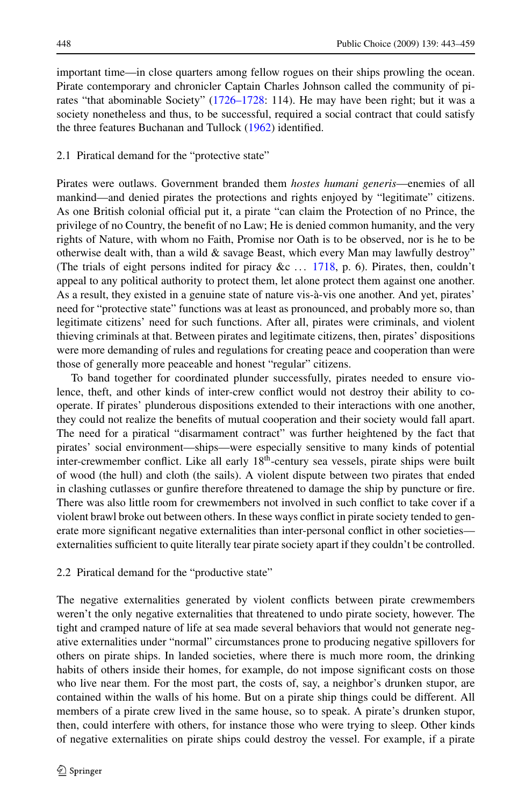important time—in close quarters among fellow rogues on their ships prowling the ocean. Pirate contemporary and chronicler Captain Charles Johnson called the community of pi-rates "that abominable Society" ([1726–1728:](#page-15-0) 114). He may have been right; but it was a society nonetheless and thus, to be successful, required a social contract that could satisfy the three features Buchanan and Tullock [\(1962](#page-15-0)) identified.

# 2.1 Piratical demand for the "protective state"

Pirates were outlaws. Government branded them *hostes humani generis*—enemies of all mankind—and denied pirates the protections and rights enjoyed by "legitimate" citizens. As one British colonial official put it, a pirate "can claim the Protection of no Prince, the privilege of no Country, the benefit of no Law; He is denied common humanity, and the very rights of Nature, with whom no Faith, Promise nor Oath is to be observed, nor is he to be otherwise dealt with, than a wild  $\&$  savage Beast, which every Man may lawfully destroy" (The trials of eight persons indited for piracy  $&c$  ... [1718](#page-16-0), p. 6). Pirates, then, couldn't appeal to any political authority to protect them, let alone protect them against one another. As a result, they existed in a genuine state of nature vis-à-vis one another. And yet, pirates' need for "protective state" functions was at least as pronounced, and probably more so, than legitimate citizens' need for such functions. After all, pirates were criminals, and violent thieving criminals at that. Between pirates and legitimate citizens, then, pirates' dispositions were more demanding of rules and regulations for creating peace and cooperation than were those of generally more peaceable and honest "regular" citizens.

To band together for coordinated plunder successfully, pirates needed to ensure violence, theft, and other kinds of inter-crew conflict would not destroy their ability to cooperate. If pirates' plunderous dispositions extended to their interactions with one another, they could not realize the benefits of mutual cooperation and their society would fall apart. The need for a piratical "disarmament contract" was further heightened by the fact that pirates' social environment—ships—were especially sensitive to many kinds of potential inter-crewmember conflict. Like all early  $18<sup>th</sup>$ -century sea vessels, pirate ships were built of wood (the hull) and cloth (the sails). A violent dispute between two pirates that ended in clashing cutlasses or gunfire therefore threatened to damage the ship by puncture or fire. There was also little room for crewmembers not involved in such conflict to take cover if a violent brawl broke out between others. In these ways conflict in pirate society tended to generate more significant negative externalities than inter-personal conflict in other societies externalities sufficient to quite literally tear pirate society apart if they couldn't be controlled.

## 2.2 Piratical demand for the "productive state"

The negative externalities generated by violent conflicts between pirate crewmembers weren't the only negative externalities that threatened to undo pirate society, however. The tight and cramped nature of life at sea made several behaviors that would not generate negative externalities under "normal" circumstances prone to producing negative spillovers for others on pirate ships. In landed societies, where there is much more room, the drinking habits of others inside their homes, for example, do not impose significant costs on those who live near them. For the most part, the costs of, say, a neighbor's drunken stupor, are contained within the walls of his home. But on a pirate ship things could be different. All members of a pirate crew lived in the same house, so to speak. A pirate's drunken stupor, then, could interfere with others, for instance those who were trying to sleep. Other kinds of negative externalities on pirate ships could destroy the vessel. For example, if a pirate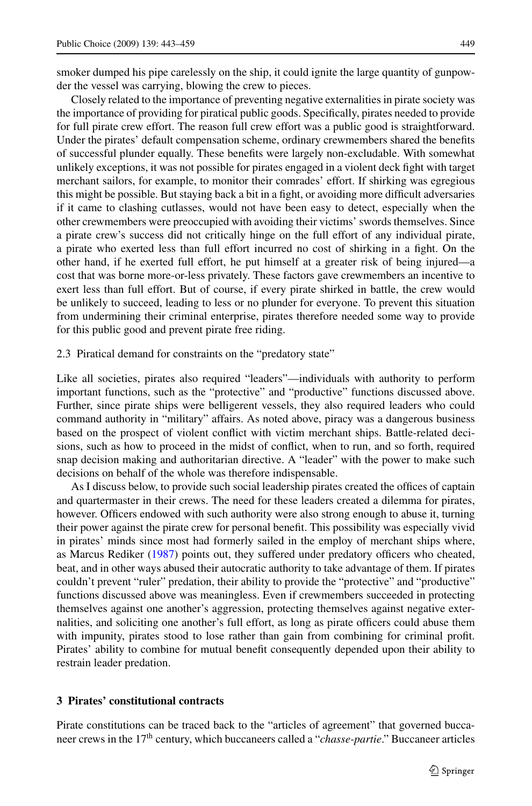smoker dumped his pipe carelessly on the ship, it could ignite the large quantity of gunpowder the vessel was carrying, blowing the crew to pieces.

Closely related to the importance of preventing negative externalities in pirate society was the importance of providing for piratical public goods. Specifically, pirates needed to provide for full pirate crew effort. The reason full crew effort was a public good is straightforward. Under the pirates' default compensation scheme, ordinary crewmembers shared the benefits of successful plunder equally. These benefits were largely non-excludable. With somewhat unlikely exceptions, it was not possible for pirates engaged in a violent deck fight with target merchant sailors, for example, to monitor their comrades' effort. If shirking was egregious this might be possible. But staying back a bit in a fight, or avoiding more difficult adversaries if it came to clashing cutlasses, would not have been easy to detect, especially when the other crewmembers were preoccupied with avoiding their victims' swords themselves. Since a pirate crew's success did not critically hinge on the full effort of any individual pirate, a pirate who exerted less than full effort incurred no cost of shirking in a fight. On the other hand, if he exerted full effort, he put himself at a greater risk of being injured—a cost that was borne more-or-less privately. These factors gave crewmembers an incentive to exert less than full effort. But of course, if every pirate shirked in battle, the crew would be unlikely to succeed, leading to less or no plunder for everyone. To prevent this situation from undermining their criminal enterprise, pirates therefore needed some way to provide for this public good and prevent pirate free riding.

#### 2.3 Piratical demand for constraints on the "predatory state"

Like all societies, pirates also required "leaders"—individuals with authority to perform important functions, such as the "protective" and "productive" functions discussed above. Further, since pirate ships were belligerent vessels, they also required leaders who could command authority in "military" affairs. As noted above, piracy was a dangerous business based on the prospect of violent conflict with victim merchant ships. Battle-related decisions, such as how to proceed in the midst of conflict, when to run, and so forth, required snap decision making and authoritarian directive. A "leader" with the power to make such decisions on behalf of the whole was therefore indispensable.

As I discuss below, to provide such social leadership pirates created the offices of captain and quartermaster in their crews. The need for these leaders created a dilemma for pirates, however. Officers endowed with such authority were also strong enough to abuse it, turning their power against the pirate crew for personal benefit. This possibility was especially vivid in pirates' minds since most had formerly sailed in the employ of merchant ships where, as Marcus Rediker [\(1987](#page-15-0)) points out, they suffered under predatory officers who cheated, beat, and in other ways abused their autocratic authority to take advantage of them. If pirates couldn't prevent "ruler" predation, their ability to provide the "protective" and "productive" functions discussed above was meaningless. Even if crewmembers succeeded in protecting themselves against one another's aggression, protecting themselves against negative externalities, and soliciting one another's full effort, as long as pirate officers could abuse them with impunity, pirates stood to lose rather than gain from combining for criminal profit. Pirates' ability to combine for mutual benefit consequently depended upon their ability to restrain leader predation.

#### **3 Pirates' constitutional contracts**

Pirate constitutions can be traced back to the "articles of agreement" that governed buccaneer crews in the 17th century, which buccaneers called a "*chasse-partie*." Buccaneer articles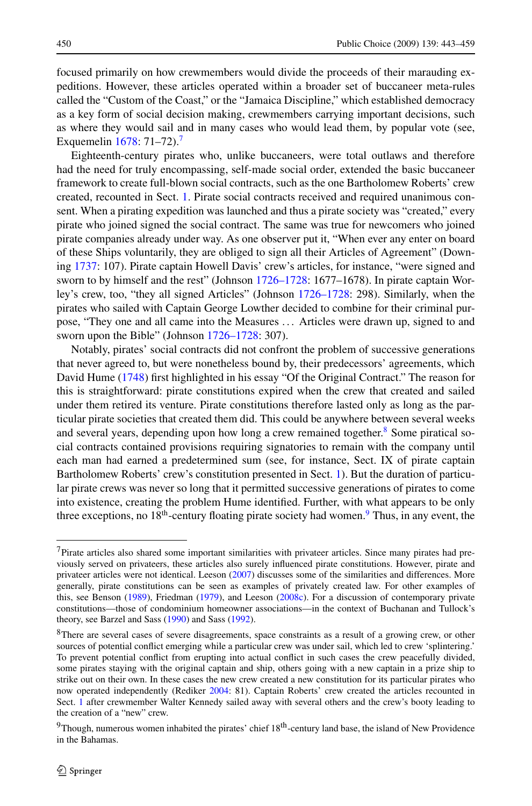focused primarily on how crewmembers would divide the proceeds of their marauding expeditions. However, these articles operated within a broader set of buccaneer meta-rules called the "Custom of the Coast," or the "Jamaica Discipline," which established democracy as a key form of social decision making, crewmembers carrying important decisions, such as where they would sail and in many cases who would lead them, by popular vote (see, Exquemelin  $1678:71-72$  $1678:71-72$ ).<sup>7</sup>

Eighteenth-century pirates who, unlike buccaneers, were total outlaws and therefore had the need for truly encompassing, self-made social order, extended the basic buccaneer framework to create full-blown social contracts, such as the one Bartholomew Roberts' crew created, recounted in Sect. [1](#page-0-0). Pirate social contracts received and required unanimous consent. When a pirating expedition was launched and thus a pirate society was "created," every pirate who joined signed the social contract. The same was true for newcomers who joined pirate companies already under way. As one observer put it, "When ever any enter on board of these Ships voluntarily, they are obliged to sign all their Articles of Agreement" (Downing [1737](#page-15-0): 107). Pirate captain Howell Davis' crew's articles, for instance, "were signed and sworn to by himself and the rest" (Johnson [1726–1728](#page-15-0): 1677–1678). In pirate captain Worley's crew, too, "they all signed Articles" (Johnson [1726–1728:](#page-15-0) 298). Similarly, when the pirates who sailed with Captain George Lowther decided to combine for their criminal purpose, "They one and all came into the Measures . . . Articles were drawn up, signed to and sworn upon the Bible" (Johnson [1726–1728:](#page-15-0) 307).

Notably, pirates' social contracts did not confront the problem of successive generations that never agreed to, but were nonetheless bound by, their predecessors' agreements, which David Hume ([1748](#page-15-0)) first highlighted in his essay "Of the Original Contract." The reason for this is straightforward: pirate constitutions expired when the crew that created and sailed under them retired its venture. Pirate constitutions therefore lasted only as long as the particular pirate societies that created them did. This could be anywhere between several weeks and several years, depending upon how long a crew remained together.<sup>8</sup> Some piratical social contracts contained provisions requiring signatories to remain with the company until each man had earned a predetermined sum (see, for instance, Sect. IX of pirate captain Bartholomew Roberts' crew's constitution presented in Sect. [1](#page-0-0)). But the duration of particular pirate crews was never so long that it permitted successive generations of pirates to come into existence, creating the problem Hume identified. Further, with what appears to be only three exceptions, no  $18<sup>th</sup>$ -century floating pirate society had women.<sup>9</sup> Thus, in any event, the

<sup>7</sup>Pirate articles also shared some important similarities with privateer articles. Since many pirates had previously served on privateers, these articles also surely influenced pirate constitutions. However, pirate and privateer articles were not identical. Leeson ([2007\)](#page-15-0) discusses some of the similarities and differences. More generally, pirate constitutions can be seen as examples of privately created law. For other examples of this, see Benson ([1989](#page-15-0)), Friedman ([1979\)](#page-15-0), and Leeson [\(2008c\)](#page-15-0). For a discussion of contemporary private constitutions—those of condominium homeowner associations—in the context of Buchanan and Tullock's theory, see Barzel and Sass ([1990\)](#page-15-0) and Sass ([1992\)](#page-16-0).

<sup>8</sup>There are several cases of severe disagreements, space constraints as a result of a growing crew, or other sources of potential conflict emerging while a particular crew was under sail, which led to crew 'splintering.' To prevent potential conflict from erupting into actual conflict in such cases the crew peacefully divided, some pirates staying with the original captain and ship, others going with a new captain in a prize ship to strike out on their own. In these cases the new crew created a new constitution for its particular pirates who now operated independently (Rediker [2004](#page-15-0): 81). Captain Roberts' crew created the articles recounted in Sect. [1](#page-0-0) after crewmember Walter Kennedy sailed away with several others and the crew's booty leading to the creation of a "new" crew.

 $9$ Though, numerous women inhabited the pirates' chief  $18<sup>th</sup>$ -century land base, the island of New Providence in the Bahamas.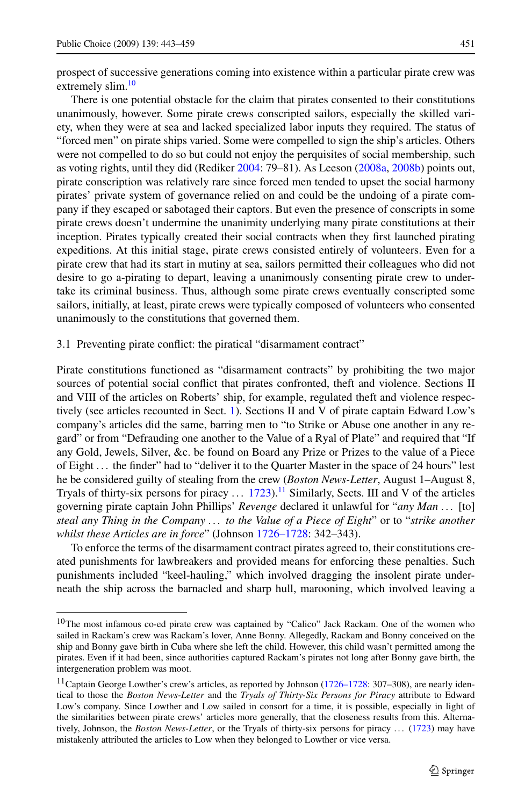prospect of successive generations coming into existence within a particular pirate crew was extremely slim.<sup>10</sup>

There is one potential obstacle for the claim that pirates consented to their constitutions unanimously, however. Some pirate crews conscripted sailors, especially the skilled variety, when they were at sea and lacked specialized labor inputs they required. The status of "forced men" on pirate ships varied. Some were compelled to sign the ship's articles. Others were not compelled to do so but could not enjoy the perquisites of social membership, such as voting rights, until they did (Rediker [2004:](#page-15-0) 79–81). As Leeson [\(2008a](#page-15-0), [2008b\)](#page-15-0) points out, pirate conscription was relatively rare since forced men tended to upset the social harmony pirates' private system of governance relied on and could be the undoing of a pirate company if they escaped or sabotaged their captors. But even the presence of conscripts in some pirate crews doesn't undermine the unanimity underlying many pirate constitutions at their inception. Pirates typically created their social contracts when they first launched pirating expeditions. At this initial stage, pirate crews consisted entirely of volunteers. Even for a pirate crew that had its start in mutiny at sea, sailors permitted their colleagues who did not desire to go a-pirating to depart, leaving a unanimously consenting pirate crew to undertake its criminal business. Thus, although some pirate crews eventually conscripted some sailors, initially, at least, pirate crews were typically composed of volunteers who consented unanimously to the constitutions that governed them.

### 3.1 Preventing pirate conflict: the piratical "disarmament contract"

Pirate constitutions functioned as "disarmament contracts" by prohibiting the two major sources of potential social conflict that pirates confronted, theft and violence. Sections II and VIII of the articles on Roberts' ship, for example, regulated theft and violence respectively (see articles recounted in Sect. [1\)](#page-0-0). Sections II and V of pirate captain Edward Low's company's articles did the same, barring men to "to Strike or Abuse one another in any regard" or from "Defrauding one another to the Value of a Ryal of Plate" and required that "If any Gold, Jewels, Silver, &c. be found on Board any Prize or Prizes to the value of a Piece of Eight . . . the finder" had to "deliver it to the Quarter Master in the space of 24 hours" lest he be considered guilty of stealing from the crew (*Boston News-Letter*, August 1–August 8, Tryals of thirty-six persons for piracy  $\dots$  [1723](#page-16-0)).<sup>11</sup> Similarly, Sects. III and V of the articles governing pirate captain John Phillips' *Revenge* declared it unlawful for "*any Man . . .* [to] *steal any Thing in the Company . . . to the Value of a Piece of Eight*" or to "*strike another whilst these Articles are in force*" (Johnson [1726–1728:](#page-15-0) 342–343).

To enforce the terms of the disarmament contract pirates agreed to, their constitutions created punishments for lawbreakers and provided means for enforcing these penalties. Such punishments included "keel-hauling," which involved dragging the insolent pirate underneath the ship across the barnacled and sharp hull, marooning, which involved leaving a

<sup>&</sup>lt;sup>10</sup>The most infamous co-ed pirate crew was captained by "Calico" Jack Rackam. One of the women who sailed in Rackam's crew was Rackam's lover, Anne Bonny. Allegedly, Rackam and Bonny conceived on the ship and Bonny gave birth in Cuba where she left the child. However, this child wasn't permitted among the pirates. Even if it had been, since authorities captured Rackam's pirates not long after Bonny gave birth, the intergeneration problem was moot.

<sup>&</sup>lt;sup>11</sup>Captain George Lowther's crew's articles, as reported by Johnson ([1726–1728:](#page-15-0) 307–308), are nearly identical to those the *Boston News-Letter* and the *Tryals of Thirty-Six Persons for Piracy* attribute to Edward Low's company. Since Lowther and Low sailed in consort for a time, it is possible, especially in light of the similarities between pirate crews' articles more generally, that the closeness results from this. Alternatively, Johnson, the *Boston News-Letter*, or the Tryals of thirty-six persons for piracy ... [\(1723](#page-16-0)) may have mistakenly attributed the articles to Low when they belonged to Lowther or vice versa.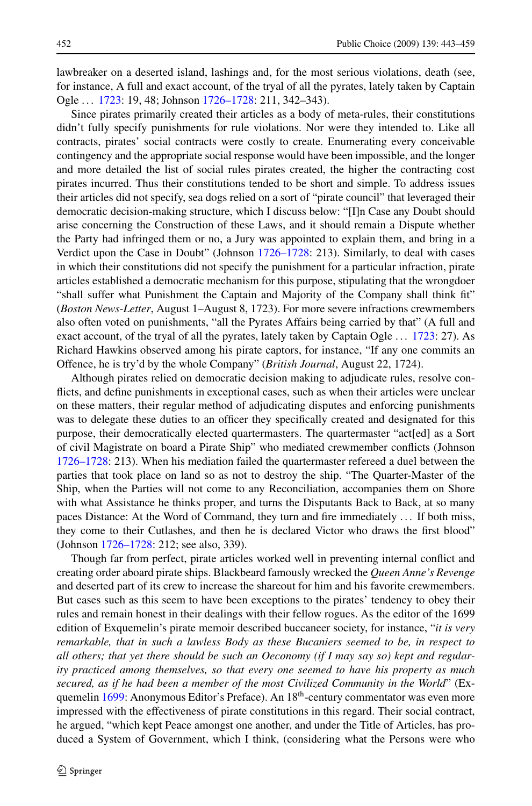lawbreaker on a deserted island, lashings and, for the most serious violations, death (see, for instance, A full and exact account, of the tryal of all the pyrates, lately taken by Captain Ogle . . . [1723](#page-15-0): 19, 48; Johnson [1726–1728:](#page-15-0) 211, 342–343).

Since pirates primarily created their articles as a body of meta-rules, their constitutions didn't fully specify punishments for rule violations. Nor were they intended to. Like all contracts, pirates' social contracts were costly to create. Enumerating every conceivable contingency and the appropriate social response would have been impossible, and the longer and more detailed the list of social rules pirates created, the higher the contracting cost pirates incurred. Thus their constitutions tended to be short and simple. To address issues their articles did not specify, sea dogs relied on a sort of "pirate council" that leveraged their democratic decision-making structure, which I discuss below: "[I]n Case any Doubt should arise concerning the Construction of these Laws, and it should remain a Dispute whether the Party had infringed them or no, a Jury was appointed to explain them, and bring in a Verdict upon the Case in Doubt" (Johnson [1726–1728:](#page-15-0) 213). Similarly, to deal with cases in which their constitutions did not specify the punishment for a particular infraction, pirate articles established a democratic mechanism for this purpose, stipulating that the wrongdoer "shall suffer what Punishment the Captain and Majority of the Company shall think fit" (*Boston News-Letter*, August 1–August 8, 1723). For more severe infractions crewmembers also often voted on punishments, "all the Pyrates Affairs being carried by that" (A full and exact account, of the tryal of all the pyrates, lately taken by Captain Ogle . . . [1723:](#page-15-0) 27). As Richard Hawkins observed among his pirate captors, for instance, "If any one commits an Offence, he is try'd by the whole Company" (*British Journal*, August 22, 1724).

Although pirates relied on democratic decision making to adjudicate rules, resolve conflicts, and define punishments in exceptional cases, such as when their articles were unclear on these matters, their regular method of adjudicating disputes and enforcing punishments was to delegate these duties to an officer they specifically created and designated for this purpose, their democratically elected quartermasters. The quartermaster "act[ed] as a Sort of civil Magistrate on board a Pirate Ship" who mediated crewmember conflicts (Johnson [1726–1728](#page-15-0): 213). When his mediation failed the quartermaster refereed a duel between the parties that took place on land so as not to destroy the ship. "The Quarter-Master of the Ship, when the Parties will not come to any Reconciliation, accompanies them on Shore with what Assistance he thinks proper, and turns the Disputants Back to Back, at so many paces Distance: At the Word of Command, they turn and fire immediately . . . If both miss, they come to their Cutlashes, and then he is declared Victor who draws the first blood" (Johnson [1726–1728:](#page-15-0) 212; see also, 339).

Though far from perfect, pirate articles worked well in preventing internal conflict and creating order aboard pirate ships. Blackbeard famously wrecked the *Queen Anne's Revenge* and deserted part of its crew to increase the shareout for him and his favorite crewmembers. But cases such as this seem to have been exceptions to the pirates' tendency to obey their rules and remain honest in their dealings with their fellow rogues. As the editor of the 1699 edition of Exquemelin's pirate memoir described buccaneer society, for instance, "*it is very remarkable, that in such a lawless Body as these Bucaniers seemed to be, in respect to all others; that yet there should be such an Oeconomy (if I may say so) kept and regularity practiced among themselves, so that every one seemed to have his property as much secured, as if he had been a member of the most Civilized Community in the World*" (Exquemelin  $1699$ : Anonymous Editor's Preface). An  $18<sup>th</sup>$ -century commentator was even more impressed with the effectiveness of pirate constitutions in this regard. Their social contract, he argued, "which kept Peace amongst one another, and under the Title of Articles, has produced a System of Government, which I think, (considering what the Persons were who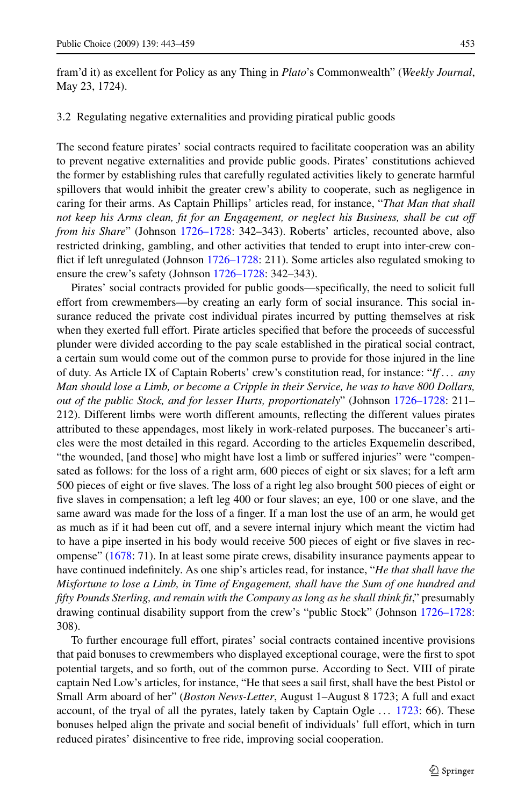fram'd it) as excellent for Policy as any Thing in *Plato*'s Commonwealth" (*Weekly Journal*, May 23, 1724).

### 3.2 Regulating negative externalities and providing piratical public goods

The second feature pirates' social contracts required to facilitate cooperation was an ability to prevent negative externalities and provide public goods. Pirates' constitutions achieved the former by establishing rules that carefully regulated activities likely to generate harmful spillovers that would inhibit the greater crew's ability to cooperate, such as negligence in caring for their arms. As Captain Phillips' articles read, for instance, "*That Man that shall not keep his Arms clean, fit for an Engagement, or neglect his Business, shall be cut off from his Share*" (Johnson [1726–1728:](#page-15-0) 342–343). Roberts' articles, recounted above, also restricted drinking, gambling, and other activities that tended to erupt into inter-crew con-flict if left unregulated (Johnson [1726–1728:](#page-15-0) 211). Some articles also regulated smoking to ensure the crew's safety (Johnson [1726–1728:](#page-15-0) 342–343).

Pirates' social contracts provided for public goods—specifically, the need to solicit full effort from crewmembers—by creating an early form of social insurance. This social insurance reduced the private cost individual pirates incurred by putting themselves at risk when they exerted full effort. Pirate articles specified that before the proceeds of successful plunder were divided according to the pay scale established in the piratical social contract, a certain sum would come out of the common purse to provide for those injured in the line of duty. As Article IX of Captain Roberts' crew's constitution read, for instance: "*If . . . any Man should lose a Limb, or become a Cripple in their Service, he was to have 800 Dollars, out of the public Stock, and for lesser Hurts, proportionately*" (Johnson [1726–1728](#page-15-0): 211– 212). Different limbs were worth different amounts, reflecting the different values pirates attributed to these appendages, most likely in work-related purposes. The buccaneer's articles were the most detailed in this regard. According to the articles Exquemelin described, "the wounded, [and those] who might have lost a limb or suffered injuries" were "compensated as follows: for the loss of a right arm, 600 pieces of eight or six slaves; for a left arm 500 pieces of eight or five slaves. The loss of a right leg also brought 500 pieces of eight or five slaves in compensation; a left leg 400 or four slaves; an eye, 100 or one slave, and the same award was made for the loss of a finger. If a man lost the use of an arm, he would get as much as if it had been cut off, and a severe internal injury which meant the victim had to have a pipe inserted in his body would receive 500 pieces of eight or five slaves in recompense" [\(1678](#page-15-0): 71). In at least some pirate crews, disability insurance payments appear to have continued indefinitely. As one ship's articles read, for instance, "*He that shall have the Misfortune to lose a Limb, in Time of Engagement, shall have the Sum of one hundred and fifty Pounds Sterling, and remain with the Company as long as he shall think fit*," presumably drawing continual disability support from the crew's "public Stock" (Johnson [1726–1728:](#page-15-0) 308).

To further encourage full effort, pirates' social contracts contained incentive provisions that paid bonuses to crewmembers who displayed exceptional courage, were the first to spot potential targets, and so forth, out of the common purse. According to Sect. VIII of pirate captain Ned Low's articles, for instance, "He that sees a sail first, shall have the best Pistol or Small Arm aboard of her" (*Boston News-Letter*, August 1–August 8 1723; A full and exact account, of the tryal of all the pyrates, lately taken by Captain Ogle ... [1723](#page-15-0): 66). These bonuses helped align the private and social benefit of individuals' full effort, which in turn reduced pirates' disincentive to free ride, improving social cooperation.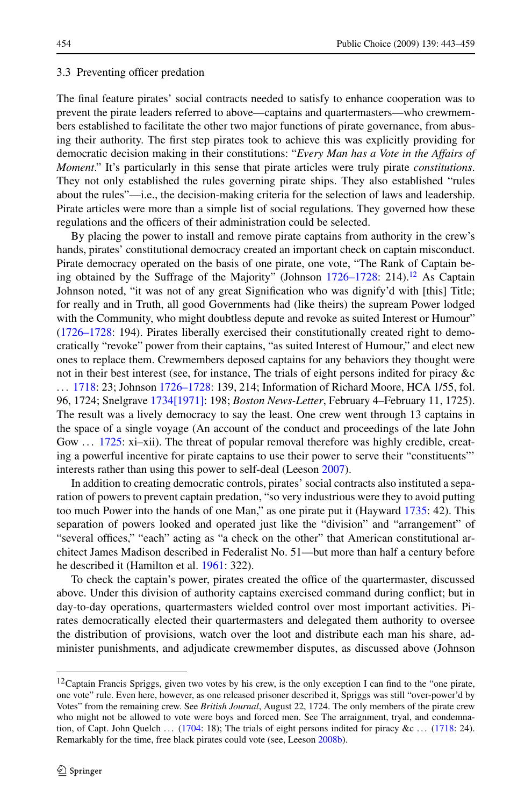#### 3.3 Preventing officer predation

The final feature pirates' social contracts needed to satisfy to enhance cooperation was to prevent the pirate leaders referred to above—captains and quartermasters—who crewmembers established to facilitate the other two major functions of pirate governance, from abusing their authority. The first step pirates took to achieve this was explicitly providing for democratic decision making in their constitutions: "*Every Man has a Vote in the Affairs of Moment*." It's particularly in this sense that pirate articles were truly pirate *constitutions*. They not only established the rules governing pirate ships. They also established "rules about the rules"—i.e., the decision-making criteria for the selection of laws and leadership. Pirate articles were more than a simple list of social regulations. They governed how these regulations and the officers of their administration could be selected.

By placing the power to install and remove pirate captains from authority in the crew's hands, pirates' constitutional democracy created an important check on captain misconduct. Pirate democracy operated on the basis of one pirate, one vote, "The Rank of Captain being obtained by the Suffrage of the Majority" (Johnson  $1726-1728$ : 214).<sup>12</sup> As Captain Johnson noted, "it was not of any great Signification who was dignify'd with [this] Title; for really and in Truth, all good Governments had (like theirs) the supream Power lodged with the Community, who might doubtless depute and revoke as suited Interest or Humour" ([1726–1728:](#page-15-0) 194). Pirates liberally exercised their constitutionally created right to democratically "revoke" power from their captains, "as suited Interest of Humour," and elect new ones to replace them. Crewmembers deposed captains for any behaviors they thought were not in their best interest (see, for instance, The trials of eight persons indited for piracy &c ... [1718](#page-16-0): 23; Johnson [1726–1728](#page-15-0): 139, 214; Information of Richard Moore, HCA 1/55, fol. 96, 1724; Snelgrave [1734\[1971\]:](#page-16-0) 198; *Boston News-Letter*, February 4–February 11, 1725). The result was a lively democracy to say the least. One crew went through 13 captains in the space of a single voyage (An account of the conduct and proceedings of the late John Gow ... [1725:](#page-15-0) xi-xii). The threat of popular removal therefore was highly credible, creating a powerful incentive for pirate captains to use their power to serve their "constituents"' interests rather than using this power to self-deal (Leeson [2007\)](#page-15-0).

In addition to creating democratic controls, pirates' social contracts also instituted a separation of powers to prevent captain predation, "so very industrious were they to avoid putting too much Power into the hands of one Man," as one pirate put it (Hayward [1735:](#page-15-0) 42). This separation of powers looked and operated just like the "division" and "arrangement" of "several offices," "each" acting as "a check on the other" that American constitutional architect James Madison described in Federalist No. 51—but more than half a century before he described it (Hamilton et al. [1961](#page-15-0): 322).

To check the captain's power, pirates created the office of the quartermaster, discussed above. Under this division of authority captains exercised command during conflict; but in day-to-day operations, quartermasters wielded control over most important activities. Pirates democratically elected their quartermasters and delegated them authority to oversee the distribution of provisions, watch over the loot and distribute each man his share, administer punishments, and adjudicate crewmember disputes, as discussed above (Johnson

 $12$ Captain Francis Spriggs, given two votes by his crew, is the only exception I can find to the "one pirate, one vote" rule. Even here, however, as one released prisoner described it, Spriggs was still "over-power'd by Votes" from the remaining crew. See *British Journal*, August 22, 1724. The only members of the pirate crew who might not be allowed to vote were boys and forced men. See The arraignment, tryal, and condemnation, of Capt. John Quelch ...  $(1704: 18)$  $(1704: 18)$ ; The trials of eight persons indited for piracy &c ...  $(1718: 24)$  $(1718: 24)$ . Remarkably for the time, free black pirates could vote (see, Leeson [2008b\)](#page-15-0).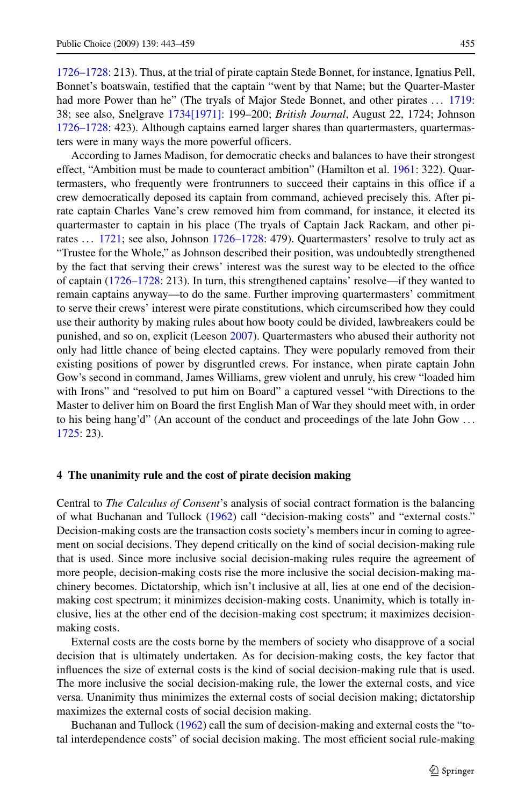[1726–1728](#page-15-0): 213). Thus, at the trial of pirate captain Stede Bonnet, for instance, Ignatius Pell, Bonnet's boatswain, testified that the captain "went by that Name; but the Quarter-Master had more Power than he" (The tryals of Major Stede Bonnet, and other pirates ... [1719:](#page-16-0) 38; see also, Snelgrave [1734\[1971\]:](#page-16-0) 199–200; *British Journal*, August 22, 1724; Johnson [1726–1728](#page-15-0): 423). Although captains earned larger shares than quartermasters, quartermasters were in many ways the more powerful officers.

According to James Madison, for democratic checks and balances to have their strongest effect, "Ambition must be made to counteract ambition" (Hamilton et al. [1961](#page-15-0): 322). Quartermasters, who frequently were frontrunners to succeed their captains in this office if a crew democratically deposed its captain from command, achieved precisely this. After pirate captain Charles Vane's crew removed him from command, for instance, it elected its quartermaster to captain in his place (The tryals of Captain Jack Rackam, and other pi-rates . . . [1721;](#page-16-0) see also, Johnson [1726–1728:](#page-15-0) 479). Quartermasters' resolve to truly act as "Trustee for the Whole," as Johnson described their position, was undoubtedly strengthened by the fact that serving their crews' interest was the surest way to be elected to the office of captain ([1726–1728](#page-15-0): 213). In turn, this strengthened captains' resolve—if they wanted to remain captains anyway—to do the same. Further improving quartermasters' commitment to serve their crews' interest were pirate constitutions, which circumscribed how they could use their authority by making rules about how booty could be divided, lawbreakers could be punished, and so on, explicit (Leeson [2007](#page-15-0)). Quartermasters who abused their authority not only had little chance of being elected captains. They were popularly removed from their existing positions of power by disgruntled crews. For instance, when pirate captain John Gow's second in command, James Williams, grew violent and unruly, his crew "loaded him with Irons" and "resolved to put him on Board" a captured vessel "with Directions to the Master to deliver him on Board the first English Man of War they should meet with, in order to his being hang'd" (An account of the conduct and proceedings of the late John Gow . . . [1725:](#page-15-0) 23).

#### **4 The unanimity rule and the cost of pirate decision making**

Central to *The Calculus of Consent*'s analysis of social contract formation is the balancing of what Buchanan and Tullock [\(1962](#page-15-0)) call "decision-making costs" and "external costs." Decision-making costs are the transaction costs society's members incur in coming to agreement on social decisions. They depend critically on the kind of social decision-making rule that is used. Since more inclusive social decision-making rules require the agreement of more people, decision-making costs rise the more inclusive the social decision-making machinery becomes. Dictatorship, which isn't inclusive at all, lies at one end of the decisionmaking cost spectrum; it minimizes decision-making costs. Unanimity, which is totally inclusive, lies at the other end of the decision-making cost spectrum; it maximizes decisionmaking costs.

External costs are the costs borne by the members of society who disapprove of a social decision that is ultimately undertaken. As for decision-making costs, the key factor that influences the size of external costs is the kind of social decision-making rule that is used. The more inclusive the social decision-making rule, the lower the external costs, and vice versa. Unanimity thus minimizes the external costs of social decision making; dictatorship maximizes the external costs of social decision making.

Buchanan and Tullock ([1962\)](#page-15-0) call the sum of decision-making and external costs the "total interdependence costs" of social decision making. The most efficient social rule-making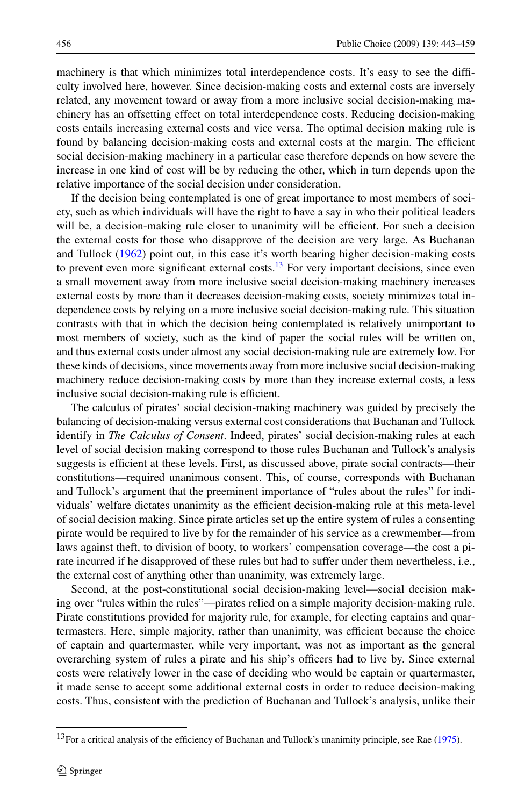machinery is that which minimizes total interdependence costs. It's easy to see the difficulty involved here, however. Since decision-making costs and external costs are inversely related, any movement toward or away from a more inclusive social decision-making machinery has an offsetting effect on total interdependence costs. Reducing decision-making costs entails increasing external costs and vice versa. The optimal decision making rule is found by balancing decision-making costs and external costs at the margin. The efficient social decision-making machinery in a particular case therefore depends on how severe the increase in one kind of cost will be by reducing the other, which in turn depends upon the relative importance of the social decision under consideration.

If the decision being contemplated is one of great importance to most members of society, such as which individuals will have the right to have a say in who their political leaders will be, a decision-making rule closer to unanimity will be efficient. For such a decision the external costs for those who disapprove of the decision are very large. As Buchanan and Tullock ([1962\)](#page-15-0) point out, in this case it's worth bearing higher decision-making costs to prevent even more significant external costs.<sup>13</sup> For very important decisions, since even a small movement away from more inclusive social decision-making machinery increases external costs by more than it decreases decision-making costs, society minimizes total independence costs by relying on a more inclusive social decision-making rule. This situation contrasts with that in which the decision being contemplated is relatively unimportant to most members of society, such as the kind of paper the social rules will be written on, and thus external costs under almost any social decision-making rule are extremely low. For these kinds of decisions, since movements away from more inclusive social decision-making machinery reduce decision-making costs by more than they increase external costs, a less inclusive social decision-making rule is efficient.

The calculus of pirates' social decision-making machinery was guided by precisely the balancing of decision-making versus external cost considerations that Buchanan and Tullock identify in *The Calculus of Consent*. Indeed, pirates' social decision-making rules at each level of social decision making correspond to those rules Buchanan and Tullock's analysis suggests is efficient at these levels. First, as discussed above, pirate social contracts—their constitutions—required unanimous consent. This, of course, corresponds with Buchanan and Tullock's argument that the preeminent importance of "rules about the rules" for individuals' welfare dictates unanimity as the efficient decision-making rule at this meta-level of social decision making. Since pirate articles set up the entire system of rules a consenting pirate would be required to live by for the remainder of his service as a crewmember—from laws against theft, to division of booty, to workers' compensation coverage—the cost a pirate incurred if he disapproved of these rules but had to suffer under them nevertheless, i.e., the external cost of anything other than unanimity, was extremely large.

Second, at the post-constitutional social decision-making level—social decision making over "rules within the rules"—pirates relied on a simple majority decision-making rule. Pirate constitutions provided for majority rule, for example, for electing captains and quartermasters. Here, simple majority, rather than unanimity, was efficient because the choice of captain and quartermaster, while very important, was not as important as the general overarching system of rules a pirate and his ship's officers had to live by. Since external costs were relatively lower in the case of deciding who would be captain or quartermaster, it made sense to accept some additional external costs in order to reduce decision-making costs. Thus, consistent with the prediction of Buchanan and Tullock's analysis, unlike their

 $13$ For a critical analysis of the efficiency of Buchanan and Tullock's unanimity principle, see Rae [\(1975](#page-15-0)).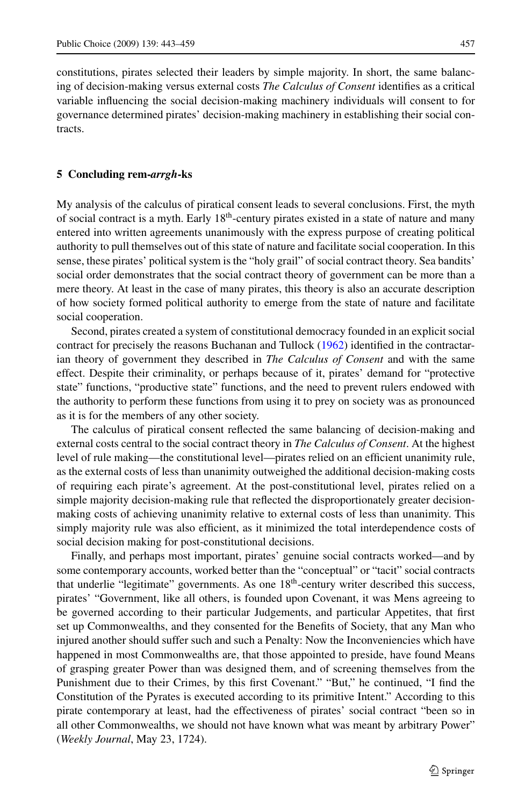constitutions, pirates selected their leaders by simple majority. In short, the same balancing of decision-making versus external costs *The Calculus of Consent* identifies as a critical variable influencing the social decision-making machinery individuals will consent to for governance determined pirates' decision-making machinery in establishing their social contracts.

### **5 Concluding rem-***arrgh***-ks**

My analysis of the calculus of piratical consent leads to several conclusions. First, the myth of social contract is a myth. Early  $18<sup>th</sup>$ -century pirates existed in a state of nature and many entered into written agreements unanimously with the express purpose of creating political authority to pull themselves out of this state of nature and facilitate social cooperation. In this sense, these pirates' political system is the "holy grail" of social contract theory. Sea bandits' social order demonstrates that the social contract theory of government can be more than a mere theory. At least in the case of many pirates, this theory is also an accurate description of how society formed political authority to emerge from the state of nature and facilitate social cooperation.

Second, pirates created a system of constitutional democracy founded in an explicit social contract for precisely the reasons Buchanan and Tullock [\(1962](#page-15-0)) identified in the contractarian theory of government they described in *The Calculus of Consent* and with the same effect. Despite their criminality, or perhaps because of it, pirates' demand for "protective state" functions, "productive state" functions, and the need to prevent rulers endowed with the authority to perform these functions from using it to prey on society was as pronounced as it is for the members of any other society.

The calculus of piratical consent reflected the same balancing of decision-making and external costs central to the social contract theory in *The Calculus of Consent*. At the highest level of rule making—the constitutional level—pirates relied on an efficient unanimity rule, as the external costs of less than unanimity outweighed the additional decision-making costs of requiring each pirate's agreement. At the post-constitutional level, pirates relied on a simple majority decision-making rule that reflected the disproportionately greater decisionmaking costs of achieving unanimity relative to external costs of less than unanimity. This simply majority rule was also efficient, as it minimized the total interdependence costs of social decision making for post-constitutional decisions.

Finally, and perhaps most important, pirates' genuine social contracts worked—and by some contemporary accounts, worked better than the "conceptual" or "tacit" social contracts that underlie "legitimate" governments. As one 18<sup>th</sup>-century writer described this success, pirates' "Government, like all others, is founded upon Covenant, it was Mens agreeing to be governed according to their particular Judgements, and particular Appetites, that first set up Commonwealths, and they consented for the Benefits of Society, that any Man who injured another should suffer such and such a Penalty: Now the Inconveniencies which have happened in most Commonwealths are, that those appointed to preside, have found Means of grasping greater Power than was designed them, and of screening themselves from the Punishment due to their Crimes, by this first Covenant." "But," he continued, "I find the Constitution of the Pyrates is executed according to its primitive Intent." According to this pirate contemporary at least, had the effectiveness of pirates' social contract "been so in all other Commonwealths, we should not have known what was meant by arbitrary Power" (*Weekly Journal*, May 23, 1724).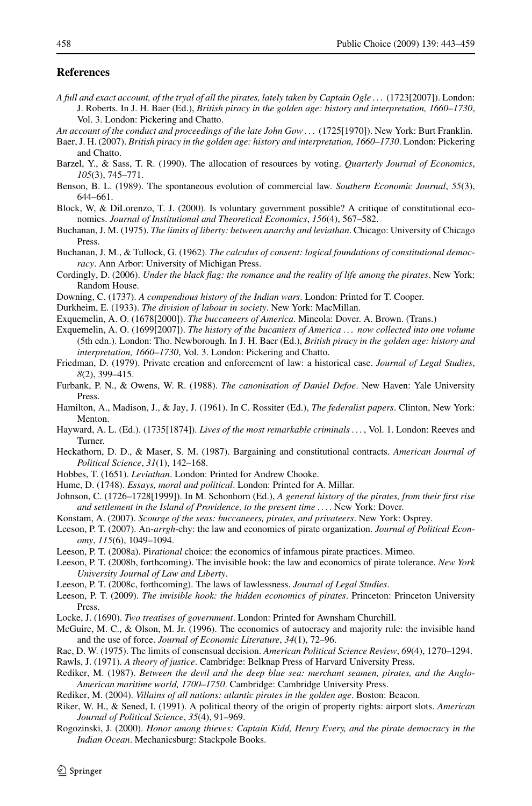#### <span id="page-15-0"></span>**References**

- *A full and exact account, of the tryal of all the pirates, lately taken by Captain Ogle . . .* (1723[2007]). London: J. Roberts. In J. H. Baer (Ed.), *British piracy in the golden age: history and interpretation, 1660–1730*, Vol. 3. London: Pickering and Chatto.
- *An account of the conduct and proceedings of the late John Gow . . .* (1725[1970]). New York: Burt Franklin.

Baer, J. H. (2007). *British piracy in the golden age: history and interpretation, 1660–1730*. London: Pickering and Chatto.

- Barzel, Y., & Sass, T. R. (1990). The allocation of resources by voting. *Quarterly Journal of Economics*, *105*(3), 745–771.
- Benson, B. L. (1989). The spontaneous evolution of commercial law. *Southern Economic Journal*, *55*(3), 644–661.
- Block, W, & DiLorenzo, T. J. (2000). Is voluntary government possible? A critique of constitutional economics. *Journal of Institutional and Theoretical Economics*, *156*(4), 567–582.
- Buchanan, J. M. (1975). *The limits of liberty: between anarchy and leviathan*. Chicago: University of Chicago Press.
- Buchanan, J. M., & Tullock, G. (1962). *The calculus of consent: logical foundations of constitutional democracy*. Ann Arbor: University of Michigan Press.
- Cordingly, D. (2006). *Under the black flag: the romance and the reality of life among the pirates*. New York: Random House.
- Downing, C. (1737). *A compendious history of the Indian wars*. London: Printed for T. Cooper.

Durkheim, E. (1933). *The division of labour in society*. New York: MacMillan.

- Exquemelin, A. O. (1678[2000]). *The buccaneers of America*. Mineola: Dover. A. Brown. (Trans.)
- Exquemelin, A. O. (1699[2007]). *The history of the bucaniers of America . . . now collected into one volume* (5th edn.). London: Tho. Newborough. In J. H. Baer (Ed.), *British piracy in the golden age: history and interpretation, 1660–1730*, Vol. 3. London: Pickering and Chatto.
- Friedman, D. (1979). Private creation and enforcement of law: a historical case. *Journal of Legal Studies*, *8*(2), 399–415.
- Furbank, P. N., & Owens, W. R. (1988). *The canonisation of Daniel Defoe*. New Haven: Yale University Press.
- Hamilton, A., Madison, J., & Jay, J. (1961). In C. Rossiter (Ed.), *The federalist papers*. Clinton, New York: Menton.
- Hayward, A. L. (Ed.). (1735[1874]). *Lives of the most remarkable criminals . . .* , Vol. 1. London: Reeves and Turner.
- Heckathorn, D. D., & Maser, S. M. (1987). Bargaining and constitutional contracts. *American Journal of Political Science*, *31*(1), 142–168.
- Hobbes, T. (1651). *Leviathan*. London: Printed for Andrew Chooke.
- Hume, D. (1748). *Essays, moral and political*. London: Printed for A. Millar.
- Johnson, C. (1726–1728[1999]). In M. Schonhorn (Ed.), *A general history of the pirates, from their first rise and settlement in the Island of Providence, to the present time . . .* . New York: Dover.
- Konstam, A. (2007). *Scourge of the seas: buccaneers, pirates, and privateers*. New York: Osprey.
- Leeson, P. T. (2007). An-*arrgh*-chy: the law and economics of pirate organization. *Journal of Political Economy*, *115*(6), 1049–1094.
- Leeson, P. T. (2008a). Pi*rational* choice: the economics of infamous pirate practices. Mimeo.
- Leeson, P. T. (2008b, forthcoming). The invisible hook: the law and economics of pirate tolerance. *New York University Journal of Law and Liberty*.
- Leeson, P. T. (2008c, forthcoming). The laws of lawlessness. *Journal of Legal Studies*.
- Leeson, P. T. (2009). *The invisible hook: the hidden economics of pirates*. Princeton: Princeton University Press.
- Locke, J. (1690). *Two treatises of government*. London: Printed for Awnsham Churchill.
- McGuire, M. C., & Olson, M. Jr. (1996). The economics of autocracy and majority rule: the invisible hand and the use of force. *Journal of Economic Literature*, *34*(1), 72–96.
- Rae, D. W. (1975). The limits of consensual decision. *American Political Science Review*, *69*(4), 1270–1294.
- Rawls, J. (1971). *A theory of justice*. Cambridge: Belknap Press of Harvard University Press.
- Rediker, M. (1987). *Between the devil and the deep blue sea: merchant seamen, pirates, and the Anglo-American maritime world, 1700–1750*. Cambridge: Cambridge University Press.
- Rediker, M. (2004). *Villains of all nations: atlantic pirates in the golden age*. Boston: Beacon.
- Riker, W. H., & Sened, I. (1991). A political theory of the origin of property rights: airport slots. *American Journal of Political Science*, *35*(4), 91–969.
- Rogozinski, J. (2000). *Honor among thieves: Captain Kidd, Henry Every, and the pirate democracy in the Indian Ocean*. Mechanicsburg: Stackpole Books.